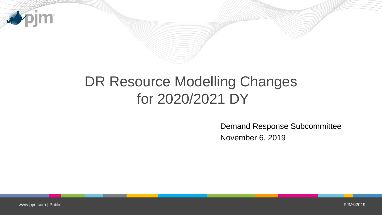

## DR Resource Modelling Changes for 2020/2021 DY

Demand Response Subcommittee November 6, 2019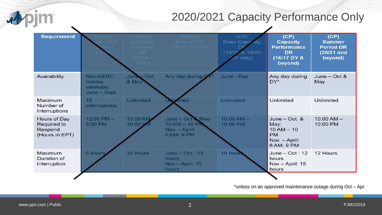

 $\blacktriangleright$ 

## 2020/2021 Capacity Performance Only

| <b>Requirement</b>                                       | odav<br>d DR                                          | (Today)<br><b>Extended</b><br>Summer<br>DR.<br>$(15/16 -$<br>17/18 | (Today)<br><b>Annual DR</b><br>$(16/17 - 17/18)$                    | (CP)<br><b>Base Capacity</b><br>(18/19 & 19/20)<br>Y only) | (CP)<br><b>Capacity</b><br><b>Performance</b><br><b>DR</b><br>(16/17 DY &<br>beyond)   | (CP)<br><b>Summer</b><br><b>Period DR</b><br>(20/21 and<br>beyond) |  |  |  |
|----------------------------------------------------------|-------------------------------------------------------|--------------------------------------------------------------------|---------------------------------------------------------------------|------------------------------------------------------------|----------------------------------------------------------------------------------------|--------------------------------------------------------------------|--|--|--|
| Availability                                             | <b>Non-NERC</b><br>holiday<br>weekday,<br>June - Sept | June - Oct<br>& May                                                | Any day during DY*                                                  | June - Sep                                                 | Any day during<br>DY*                                                                  | June $-$ Oct &<br>May                                              |  |  |  |
| Maximum<br>Number of<br>Interruptions                    | 10<br>interruptions                                   | <b>Unlimited</b>                                                   | nited                                                               | <b>Unlimited</b>                                           | Unlimited                                                                              | Unlimited                                                          |  |  |  |
| Hours of Day<br>Required to<br>Respond<br>(Hours in EPT) | $12:00$ PM $-$<br>8:00 PM                             | 10:00 AM<br>10:00 PM                                               | June - Oct & May:<br>$10 AM - 10 PM$<br>Nov. - April:<br>6 AM- 9 PM | $10:00 AM -$<br>10:00 PM                                   | June $-$ Oct. $\&$<br>May:<br>$10 AM - 10$<br><b>PM</b><br>Nov. - April:<br>6 AM- 9 PM | $10:00 AM -$<br>10:00 PM                                           |  |  |  |
| Maximum<br>Duration of<br>Interruption                   | 6 Hours                                               | 10 Hours                                                           | June $-$ Oct : 12<br><b>hours</b><br>Nov $-$ April: 15<br>hours     | 10 Hour                                                    | June $-$ Oct : 12<br>hours<br>Nov $-$ April: 15<br>hours                               | 12 Hours                                                           |  |  |  |
|                                                          |                                                       |                                                                    |                                                                     |                                                            |                                                                                        |                                                                    |  |  |  |

\*unless on an approved maintenance outage during Oct – Apr.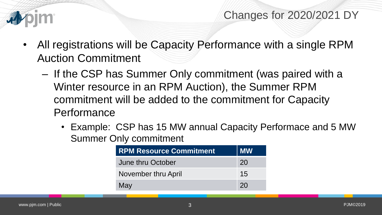

- All registrations will be Capacity Performance with a single RPM Auction Commitment
	- If the CSP has Summer Only commitment (was paired with a Winter resource in an RPM Auction), the Summer RPM commitment will be added to the commitment for Capacity Performance
		- Example: CSP has 15 MW annual Capacity Performace and 5 MW Summer Only commitment

| <b>RPM Resource Commitment</b> | <b>MW</b> |
|--------------------------------|-----------|
| June thru October              | <b>20</b> |
| November thru April            | 15        |
| May                            | 20        |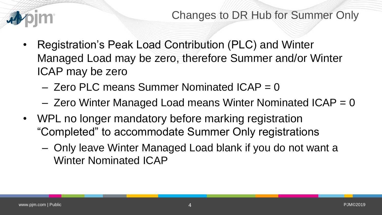

- Registration's Peak Load Contribution (PLC) and Winter Managed Load may be zero, therefore Summer and/or Winter ICAP may be zero
	- $-$  Zero PLC means Summer Nominated ICAP = 0
	- $-$  Zero Winter Managed Load means Winter Nominated ICAP = 0
- WPL no longer mandatory before marking registration "Completed" to accommodate Summer Only registrations
	- Only leave Winter Managed Load blank if you do not want a Winter Nominated ICAP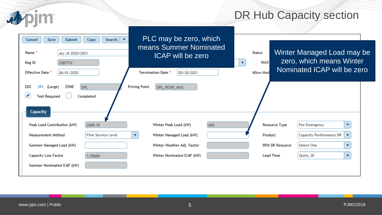## DR Hub Capacity section

| Submit<br>Save<br>Cancel<br>Name *<br>aly LM 2020/2021<br>Reg ID<br>3287732   | Search<br>$\overline{\phantom{a}}$<br>Copy     | PLC may be zero, which<br>means Summer Nominated<br><b>ICAP</b> will be zero |     | Winter Managed Load may be<br>Status<br>zero, which means Winter<br>Hold<br>▼ |                 |                         |                          |  |
|-------------------------------------------------------------------------------|------------------------------------------------|------------------------------------------------------------------------------|-----|-------------------------------------------------------------------------------|-----------------|-------------------------|--------------------------|--|
| Effective Date *<br>06/01/2020                                                |                                                | Termination Date *<br>05/30/2021                                             |     | Nominated ICAP will be zero<br>Allow Mod                                      |                 |                         |                          |  |
| ZONE<br><b>DPL</b><br>EDC<br>(Large)<br>✔<br><b>Test Required</b><br>Capacity | <b>DPL</b><br>Completed                        | Pricing Point<br>DPL_RESID_AGG                                               |     |                                                                               |                 |                         |                          |  |
| Peak Load Contribution (kW)                                                   | 2649.19                                        | Winter Peak Load (kW)                                                        | 600 | Resource Type                                                                 |                 | Pre-Emergency           | ▼                        |  |
| Measurement Method                                                            | Firm Service Level<br>$\overline{\phantom{a}}$ | Winter Managed Load (kW)                                                     |     | Product                                                                       |                 | Capacity Performance DR |                          |  |
| Summer Managed Load (kW)                                                      |                                                | Winter Weather Adj. Factor                                                   |     |                                                                               | RPM DR Resource | Select One              | $\overline{\phantom{a}}$ |  |
| Capacity Loss Factor                                                          | 1.05669                                        | Winter Nominated ICAP (kW)                                                   |     | Lead Time                                                                     |                 | Quick_30                | $\overline{\phantom{a}}$ |  |
| Summer Nominated ICAP (kW)                                                    |                                                |                                                                              |     |                                                                               |                 |                         |                          |  |

apjm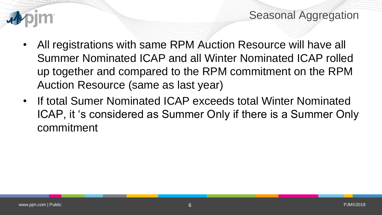

Seasonal Aggregation

- All registrations with same RPM Auction Resource will have all Summer Nominated ICAP and all Winter Nominated ICAP rolled up together and compared to the RPM commitment on the RPM Auction Resource (same as last year)
- If total Sumer Nominated ICAP exceeds total Winter Nominated ICAP, it 's considered as Summer Only if there is a Summer Only commitment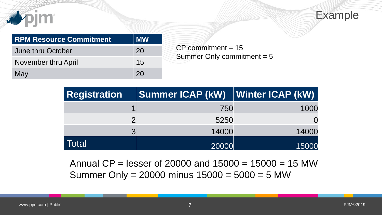



| <b>RPM Resource Commitment</b> | <b>MW</b> |
|--------------------------------|-----------|
| June thru October              | <b>20</b> |
| November thru April            | 15        |
| May                            | 20        |

 $CP$  commitment = 15 Summer Only commitment = 5

| <b>Registration</b> | Summer ICAP (kW)   Winter ICAP (kW) |       |
|---------------------|-------------------------------------|-------|
|                     | 750                                 | 1000  |
|                     | 5250                                |       |
| $\mathbf{z}$        | 14000                               | 14000 |
| Total               | 20000                               | 15000 |

Annual  $CP = lesser of 20000 and 15000 = 15000 = 15 MW$ Summer Only =  $20000$  minus  $15000 = 5000 = 5$  MW